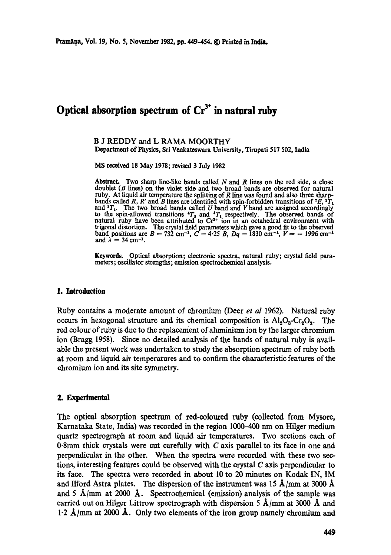# Optical absorption spectrum of  $Cr<sup>3+</sup>$  in natural ruby

**B J** REDDY and L RAMA MOORTHY Department of Physics, Sri Venkateswara University, Tirupati 517 502, India

MS received 18 May 1978; revised 3 July 1982

Abstract. Two sharp line-like bands called  $N$  and  $R$  lines on the red side, a close doublet (B lines) on the violet side and two broad bands are observed for natural ruby. At liquid air temperature the splitting of R line was found and also three sharpbands called R, R' and B lines are identified with spin-forbidden transitions of  $^2E$ ,  $^2T_1$ and  $^{2}T_{2}$ . The two broad bands called U band and Y band are assigned accordingly to the spin-allowed transitions  $T_2$  and  $T_1$  respectively. The observed bands of natural ruby have been attributed to  $Cr<sup>3+</sup>$  ion in an octahedral environment with trigonal distortion. The crystal field parameters which gave a good fit to the observed band positions are  $B = 732$  cm<sup>-1</sup>,  $C = 4.25$  B,  $Dq = 1830$  cm<sup>-1</sup>,  $V = -1996$  cm<sup>-1</sup> and  $\lambda = 34$  cm<sup>-1</sup>.

Keywords. Optical absorption; electronic spectra, natural ruby; crystal field parameters; oscillator strengths; emission spectrochemical analysis.

# **1. Introduction**

Ruby contains a moderate amount of chromium (Deer *et al* 1962). Natural ruby occurs in hexogonal structure and its chemical composition is  $Al_2O_3-Cr_2O_3$ . The red colour of ruby is *due* to the replacement of aluminium ion by the larger chromium ion (Bragg 1958). Since no detailed analysis of the bands of natural ruby is available the present work was undertaken to study the absorption spectrum of ruby both at room and liquid air temperatures and to confirm the characteristic features of the chromium ion and its site symmetry.

#### **2. Experimental**

The optical absorption spectrum of red-coloured ruby (collected from Mysore, Karnataka State, India) was recorded in the region 1000-400 nm on Hilger medium quartz spectrograph at room and liquid air temperatures. Two sections each of 0.8mm thick crystals were cut carefully with  $C$  axis parallel to its face in one and perpendicular in the other. When the spectra were recorded with these two sections, interesting features could be observed with the crystal C axis perpendicular to its face. The spectra were recorded in about l0 to 20 minutes on Kodak IN, IM and Ilford Astra plates. The dispersion of the instrument was 15  $\AA$ /mm at 3000  $\AA$ and 5  $\dot{A}/mm$  at 2000  $\dot{A}$ . Spectrochemical (emission) analysis of the sample was carried out on Hilger Littrow spectrograph with dispersion 5  $\AA$ /mm at 3000  $\AA$  and  $1.2$   $\AA$ /mm at 2000  $\AA$ . Only two elements of the iron group namely chromium and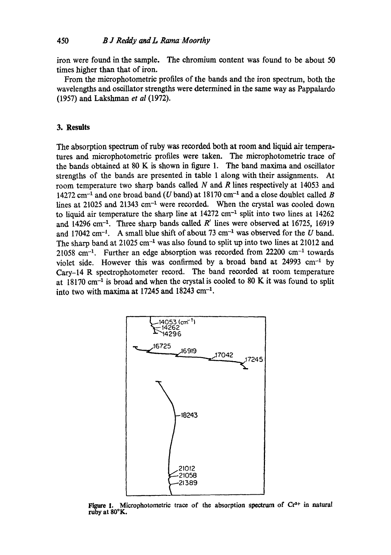iron were found in the sample. The chromium content was found to be about 50 times higher than that of iron.

From the miorophotometric profiles of the bands and the iron spectrum, both the wavelengths and oscillator strengths were determined in the same way as Pappalardo (1957) and Lakshman *et al* (1972).

# **3. Results**

The absorption spectrum of ruby was recorded both at room and liquid air temperatares and microphotometric profiles were taken. The microphotometric trace of the bands obtained at 80 K is shown in figure 1. The band maxima and oscillator strengths of the bands are presented in table 1 along with their assignments. At room temperature two sharp bands called N and R lines respectively at 14053 and 14272 cm<sup>-1</sup> and one broad band (U band) at 18170 cm<sup>-1</sup> and a close doublet called B lines at 21025 and 21343 cm<sup>-1</sup> were recorded. When the crystal was cooled down to liquid air temperature the sharp line at  $14272$  cm<sup>-1</sup> split into two lines at  $14262$ and 14296 cm<sup>-1</sup>. Three sharp bands called  $R'$  lines were observed at 16725, 16919 and 17042 cm<sup>-1</sup>. A small blue shift of about 73 cm<sup>-1</sup> was observed for the U band. The sharp band at  $21025 \text{ cm}^{-1}$  was also found to split up into two lines at  $21012$  and  $21058$  cm<sup>-1</sup>. Further an edge absorption was recorded from  $22200$  cm<sup>-1</sup> towards violet side. However this was confirmed by a broad band at  $24993 \text{ cm}^{-1}$  by Cary-14 R spectrophotometer record. The band recorded at room temperature at  $18170$  cm<sup>-1</sup> is broad and when the crystal is cooled to 80 K it was found to split into two with maxima at 17245 and 18243 cm $^{-1}$ .



Figure 1. Microphotometric trace of the absorption spectrum of  $Cr<sup>3+</sup>$  in natural ruby at 80°K.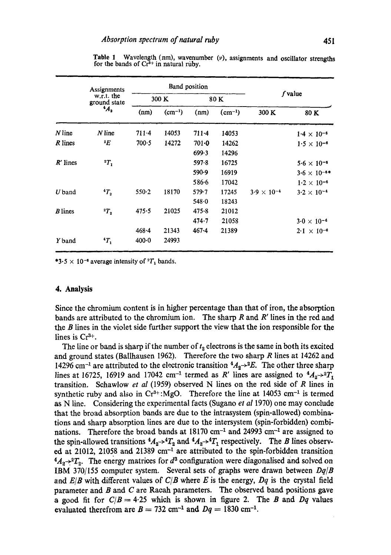|                | Assignments<br>w.r.t. the<br>ground state<br>$4A_2$ | Band position |             |           |             |                      |                       |
|----------------|-----------------------------------------------------|---------------|-------------|-----------|-------------|----------------------|-----------------------|
|                |                                                     | 300 K         |             | 80 K      |             | f value              |                       |
|                |                                                     | (nm)          | $(cm^{-1})$ | (nm)      | $(cm^{-1})$ | 300 K                | 80 K                  |
| $N$ line       | $N$ line                                            | $711-4$       | 14053       | $711 - 4$ | 14053       |                      | $1.4 \times 10^{-6}$  |
| R lines        | ${}^2E$                                             | $700-5$       | 14272       | $701 - 0$ | 14262       |                      | $1.5 \times 10^{-6}$  |
|                |                                                     |               |             | 699.3     | 14296       |                      |                       |
| $R'$ lines     | $r_1$                                               |               |             | 597.8     | 16725       |                      | $5.6 \times 10^{-6}$  |
|                |                                                     |               |             | 590.9     | 16919       |                      | $3.6 \times 10^{-6*}$ |
|                |                                                     |               |             | 586.6     | 17042       |                      | $1.2 \times 10^{-6}$  |
| $U$ band       | ${}^4T_2$                                           | 550.2         | 18170       | $579 - 7$ | 17245       | $3.9 \times 10^{-4}$ | $3.2 \times 10^{-4}$  |
|                |                                                     |               |             | 548.0     | 18243       |                      |                       |
| <b>B</b> lines | ${}^2T_2$                                           | 475.5         | 21025       | $475 - 8$ | 21012       |                      |                       |
|                |                                                     |               |             | 474.7     | 21058       |                      | $3.0 \times 10^{-6}$  |
|                |                                                     | $468 - 4$     | 21343       | $467 - 4$ | 21389       |                      | $2.1 \times 10^{-6}$  |
| Y band         | $T_1$                                               | $400 - 0$     | 24993       |           |             |                      |                       |

Table 1 Wavelength (nm), wavenumber  $(v)$ , assignments and oscillator strengths for the bands of  $Cr<sup>3+</sup>$  in natural ruby.

\*3.5  $\times$  10<sup>-6</sup> average intensity of <sup>2</sup>T<sub>1</sub> bands.

#### **4. Analysis**

Since the chromium content is in higher percentage than that of iron, the absorption bands are attributed to the chromium ion. The sharp R and R' lines in the red and the  $B$  lines in the violet side further support the view that the ion responsible for the lines is  $Cr<sup>3+</sup>$ .

The line or band is sharp if the number of  $t_2$  electrons is the same in both its excited and ground states (Ballhausen 1962). Therefore the two sharp R lines at 14262 and 14296 cm<sup>-1</sup> are attributed to the electronic transition  $4A_2 \rightarrow 2E$ . The other three sharp lines at 16725, 16919 and 17042 cm<sup>-1</sup> termed as R' lines are assigned to  $4A_2 \rightarrow 2T_1$ transition. Schawlow *et al* (1959) observed N lines on the red side of R lines in synthetic ruby and also in  $Cr^{3+}$ :MgO. Therefore the line at 14053 cm<sup>-1</sup> is termed as N line. Considering the experimental facts (Sugano *et al* 1970) one may conclude that the broad absorption bands are due to the intrasystem (spin-allowed) combinations and sharp absorption lines are due to the intersystem (spin-forbidden) combinations. Therefore the broad bands at  $18170 \text{ cm}^{-1}$  and  $24993 \text{ cm}^{-1}$  are assigned to the spin-allowed transitions  ${}^4A_2 \rightarrow {}^4T_2$  and  ${}^4A_2 \rightarrow {}^4T_1$  respectively. The *B* lines observed at 21012, 21058 and 21389  $cm^{-1}$  are attributed to the spin-forbidden transition  $^{4}A_{2}$ <sup>2</sup> $T_{2}$ . The energy matrices for  $d^{3}$  configuration were diagonalised and solved on IBM 370/155 computer system. Several sets of graphs were drawn between *Dq/B*  and  $E/B$  with different values of  $C/B$  where E is the energy,  $Dq$  is the crystal field parameter and B and C are Raeah parameters. The observed band positions gave a good fit for  $C/B = 4.25$  which is shown in figure 2. The B and Dq values evaluated therefrom are  $B = 732$  cm<sup>-1</sup> and  $Dq = 1830$  cm<sup>-1</sup>.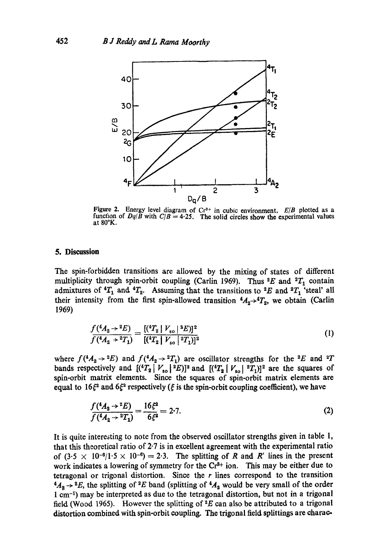

Figure 2. Energy level diagram of  $Cr^{3+}$  in cubic environment.  $E/B$  plotted as a function of  $Dq/\overline{B}$  with  $C/B = 4.25$ . The solid circles show the experimental values at 80°K.

## **5. Discussion**

The spin-forbidden transitions are allowed by the mixing of states of different multiplicity through spin-orbit coupling (Carlin 1969). Thus <sup>2</sup>E and <sup>2</sup> $T_1$  contain admixtures of  ${}^4T_1$  and  ${}^4T_2$ . Assuming that the transitions to  ${}^2E$  and  ${}^2T_1$  'steal' all their intensity from the first spin-allowed transition  ${}^4A_2 \rightarrow {}^4T_2$ , we obtain (Carlin 1969)

$$
\frac{f(^{4}A_{2} \rightarrow ^{2}E)}{f(^{4}A_{2} \rightarrow ^{2}T_{1})} = \frac{[(^{4}T_{2} \mid V_{so} \mid ^{2}E)]^{2}}{[(^{4}T_{2} \mid V_{so} \mid ^{2}T_{1})]^{2}}
$$
\n(1)

where  $f(^4A_2 \rightarrow ^2E)$  and  $f(^4A_2 \rightarrow ^2T_1)$  are oscillator strengths for the <sup>2</sup>E and <sup>2</sup>T bands respectively and  $[(\binom{4}{2} V_{so}^2]^2]$  and  $[(\binom{4}{2} V_{so}^2]^2]^2$  are the squares of spin-orbit matrix elements. Since the squares of spin-orbit matrix elements are equal to 16 $\xi^2$  and 6 $\xi^2$  respectively ( $\xi$  is the spin-orbit coupling coefficient), we have

$$
\frac{f(^{4}A_{2} \rightarrow {}^{2}E)}{f(^{4}A_{2} \rightarrow {}^{2}T_{1})} = \frac{16\xi^{2}}{6\xi^{2}} = 2.7.
$$
\n(2)

It is quite interesting to note from the observed oscillator strengths given in table 1, that this theoretioal ratio of 2.7 is in excellent agreement with the experimental ratio of  $(3.5 \times 10^{-6}/1.5 \times 10^{-6}) = 2.3$ . The splitting of R and R' lines in the present work indicates a lowering of symmetry for the  $Cr<sup>3+</sup>$  ion. This may be either due to tetragonal or trigonal distortion. Since the  $r$  lines correspond to the transition  $4A_2 \rightarrow 2E$ , the splitting of  $2E$  band (splitting of  $4A_2$  would be very small of the order 1 em -1) may be interpreted as due to the tetragonal distortion, but not in a trigonal field (Wood 1965). However the splitting of  $E^2E$  can also be attributed to a trigonal distortion combined with spin-orbit coupling. The trigonal field splittings are charac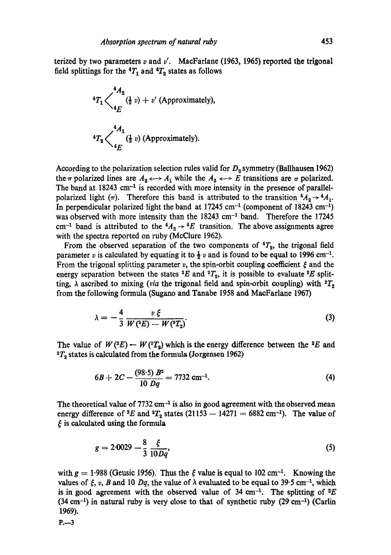terized by two parameters  $v$  and  $v'$ . MacFarlane (1963, 1965) reported the trigonal field splittings for the  ${}^4T_1$  and  ${}^4T_2$  states as follows

<sup>4</sup>
$$
T_1
$$
 $\left\langle \frac{{}^4A_2}{{}^4E} ({}^1_2 v) + v'$  (Approximately),  
<sup>4</sup> $T_2$  $\left\langle \frac{{}^4A_1}{{}^4E} ({}^1_2 v)$  (Approximately).

According to the polarization selection rules valid for  $D_3$  symmetry (Ballhausen 1962) the  $\pi$  polarized lines are  $A_2 \leftrightarrow A_1$  while the  $A_2 \leftrightarrow E$  transitions are  $\sigma$  polarized. The band at  $18243 \text{ cm}^{-1}$  is recorded with more intensity in the presence of parallelpolarized light ( $\pi$ ). Therefore this band is attributed to the transition  ${}^4A_2 \rightarrow {}^4A_1$ . In perpendicular polarized light the band at  $17245 \text{ cm}^{-1}$  (component of 18243 cm<sup>-1</sup>) was observed with more intensity than the  $18243 \text{ cm}^{-1}$  band. Therefore the 17245 cm<sup>-1</sup> band is attributed to the  ${}^4A_2 \rightarrow {}^4E$  transition. The above assignments agree with the spectra reported on ruby (McClure 1962).

From the observed separation of the two components of  ${}^4T_2$ , the trigonal field parameter v is calculated by equating it to  $\frac{1}{2}$  v and is found to be equal to 1996 cm<sup>-1</sup>. From the trigonal splitting parameter v, the spin-orbit coupling coefficient  $\xi$  and the energy separation between the states  ${}^2E$  and  ${}^2T_2$ , it is possible to evaluate  ${}^2E$  splitting,  $\lambda$  ascribed to mixing *(via* the trigonal field and spin-orbit coupling) with  ${}^2T_2$ from the following formula (Sugano and Tanabe 1958 and MacFarlane 1967)

$$
\lambda = -\frac{4}{3} \frac{v \xi}{W(^2E) - W(^2T_2)}.
$$
\n(3)

The value of  $W(^{2}E) - W(^{2}T_{2})$  which is the energy difference between the <sup>2</sup>E and  ${}^{2}T_{2}$  states is calculated from the formula (Jorgensen 1962)

$$
6B + 2C - \frac{(98.5) B^2}{10 Dq} = 7732 \text{ cm}^{-1}.
$$
 (4)

The theoretical value of  $7732 \text{ cm}^{-1}$  is also in good agreement with the observed mean energy difference of  ${}^2E$  and  ${}^3T_2$  states (21153 -- 14271 = 6882 cm<sup>-1</sup>). The value of  $\xi$  is calculated using the formula

$$
g = 2.0029 - \frac{8}{3} \frac{\xi}{10Dq},\tag{5}
$$

with  $g = 1.988$  (Geusic 1956). Thus the  $\zeta$  value is equal to 102 cm<sup>-1</sup>. Knowing the values of  $\xi$ , v, B and 10 Dq, the value of  $\lambda$  evaluated to be equal to 39.5 cm<sup>-1</sup>, which is in good agreement with the observed value of 34 cm<sup>-1</sup>. The splitting of  $E$  $(34 \text{ cm}^{-1})$  in natural ruby is very close to that of synthetic ruby  $(29 \text{ cm}^{-1})$  (Carlin 1969).